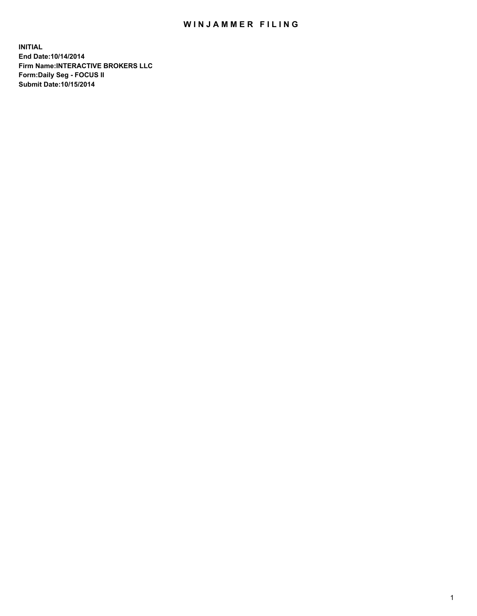## WIN JAMMER FILING

**INITIAL End Date:10/14/2014 Firm Name:INTERACTIVE BROKERS LLC Form:Daily Seg - FOCUS II Submit Date:10/15/2014**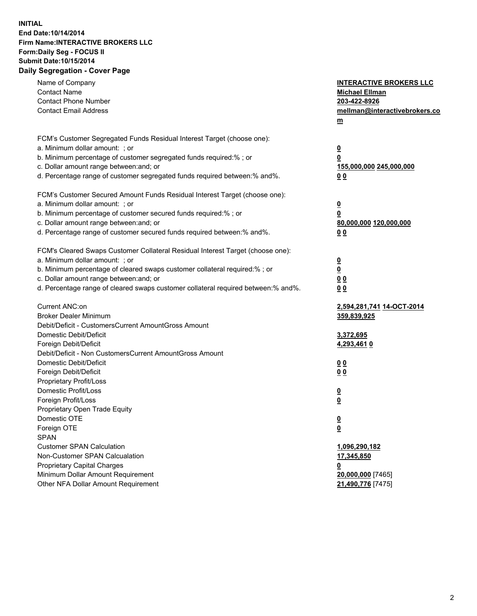## **INITIAL End Date:10/14/2014 Firm Name:INTERACTIVE BROKERS LLC Form:Daily Seg - FOCUS II Submit Date:10/15/2014 Daily Segregation - Cover Page**

| Name of Company<br><b>Contact Name</b><br><b>Contact Phone Number</b><br><b>Contact Email Address</b>                                                                                      | <b>INTERACTIVE BROKERS LLC</b><br><b>Michael Ellman</b><br>203-422-8926<br>mellman@interactivebrokers.co<br>$m$ |
|--------------------------------------------------------------------------------------------------------------------------------------------------------------------------------------------|-----------------------------------------------------------------------------------------------------------------|
| FCM's Customer Segregated Funds Residual Interest Target (choose one):<br>a. Minimum dollar amount: ; or                                                                                   | $\overline{\mathbf{0}}$                                                                                         |
| b. Minimum percentage of customer segregated funds required:% ; or<br>c. Dollar amount range between: and; or<br>d. Percentage range of customer segregated funds required between:% and%. | 0<br>155,000,000 245,000,000<br>0 <sub>0</sub>                                                                  |
| FCM's Customer Secured Amount Funds Residual Interest Target (choose one):                                                                                                                 |                                                                                                                 |
| a. Minimum dollar amount: ; or<br>b. Minimum percentage of customer secured funds required:% ; or                                                                                          | $\overline{\mathbf{0}}$<br>0                                                                                    |
| c. Dollar amount range between: and; or<br>d. Percentage range of customer secured funds required between:% and%.                                                                          | 80,000,000 120,000,000<br>0 <sub>0</sub>                                                                        |
| FCM's Cleared Swaps Customer Collateral Residual Interest Target (choose one):                                                                                                             |                                                                                                                 |
| a. Minimum dollar amount: ; or                                                                                                                                                             | $\overline{\mathbf{0}}$                                                                                         |
| b. Minimum percentage of cleared swaps customer collateral required:% ; or                                                                                                                 | $\overline{\mathbf{0}}$                                                                                         |
| c. Dollar amount range between: and; or<br>d. Percentage range of cleared swaps customer collateral required between:% and%.                                                               | 0 <sub>0</sub><br>0 <sub>0</sub>                                                                                |
|                                                                                                                                                                                            |                                                                                                                 |
| Current ANC:on                                                                                                                                                                             | <u>2,594,281,741 14-OCT-2014</u>                                                                                |
| <b>Broker Dealer Minimum</b><br>Debit/Deficit - CustomersCurrent AmountGross Amount                                                                                                        | 359,839,925                                                                                                     |
| Domestic Debit/Deficit                                                                                                                                                                     | 3,372,695                                                                                                       |
| Foreign Debit/Deficit                                                                                                                                                                      | 4,293,461 0                                                                                                     |
| Debit/Deficit - Non CustomersCurrent AmountGross Amount                                                                                                                                    |                                                                                                                 |
| Domestic Debit/Deficit                                                                                                                                                                     | 0 <sub>0</sub>                                                                                                  |
| Foreign Debit/Deficit                                                                                                                                                                      | 0 <sub>0</sub>                                                                                                  |
| Proprietary Profit/Loss<br>Domestic Profit/Loss                                                                                                                                            |                                                                                                                 |
| Foreign Profit/Loss                                                                                                                                                                        | $\overline{\mathbf{0}}$<br>$\underline{\mathbf{0}}$                                                             |
| Proprietary Open Trade Equity                                                                                                                                                              |                                                                                                                 |
| Domestic OTE                                                                                                                                                                               | <u>0</u>                                                                                                        |
| Foreign OTE                                                                                                                                                                                | <u>0</u>                                                                                                        |
| <b>SPAN</b>                                                                                                                                                                                |                                                                                                                 |
| <b>Customer SPAN Calculation</b>                                                                                                                                                           | 1,096,290,182                                                                                                   |
| Non-Customer SPAN Calcualation                                                                                                                                                             | 17,345,850                                                                                                      |
| Proprietary Capital Charges                                                                                                                                                                | <u>0</u>                                                                                                        |
| Minimum Dollar Amount Requirement                                                                                                                                                          | 20,000,000 [7465]                                                                                               |
| Other NFA Dollar Amount Requirement                                                                                                                                                        | 21,490,776 [7475]                                                                                               |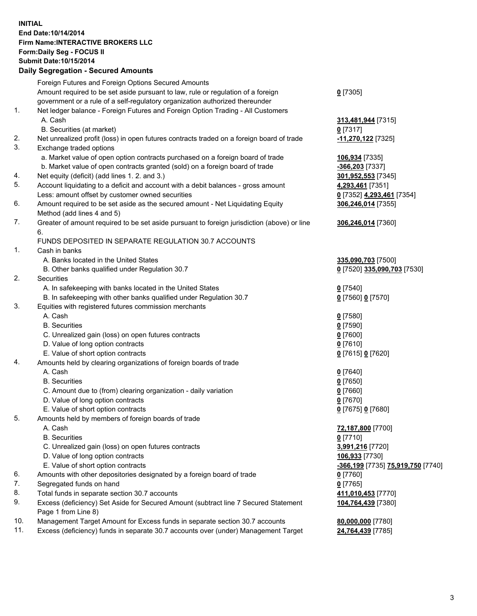## **INITIAL End Date:10/14/2014 Firm Name:INTERACTIVE BROKERS LLC Form:Daily Seg - FOCUS II Submit Date:10/15/2014 Daily Segregation - Secured Amounts**

|     | Foreign Futures and Foreign Options Secured Amounts                                                        |                                                 |
|-----|------------------------------------------------------------------------------------------------------------|-------------------------------------------------|
|     | Amount required to be set aside pursuant to law, rule or regulation of a foreign                           | $0$ [7305]                                      |
|     | government or a rule of a self-regulatory organization authorized thereunder                               |                                                 |
| 1.  | Net ledger balance - Foreign Futures and Foreign Option Trading - All Customers                            |                                                 |
|     | A. Cash                                                                                                    | 313,481,944 [7315]                              |
|     | B. Securities (at market)                                                                                  | $0$ [7317]                                      |
| 2.  | Net unrealized profit (loss) in open futures contracts traded on a foreign board of trade                  | -11,270,122 [7325]                              |
| 3.  | Exchange traded options                                                                                    |                                                 |
|     | a. Market value of open option contracts purchased on a foreign board of trade                             | 106,934 [7335]                                  |
|     | b. Market value of open contracts granted (sold) on a foreign board of trade                               | -366,203 [7337]                                 |
| 4.  | Net equity (deficit) (add lines 1.2. and 3.)                                                               | 301,952,553 [7345]                              |
| 5.  | Account liquidating to a deficit and account with a debit balances - gross amount                          | 4,293,461 [7351]                                |
|     | Less: amount offset by customer owned securities                                                           | 0 [7352] 4,293,461 [7354]                       |
| 6.  | Amount required to be set aside as the secured amount - Net Liquidating Equity                             | 306,246,014 [7355]                              |
|     | Method (add lines 4 and 5)                                                                                 |                                                 |
| 7.  | Greater of amount required to be set aside pursuant to foreign jurisdiction (above) or line                | 306,246,014 [7360]                              |
|     | 6.                                                                                                         |                                                 |
|     | FUNDS DEPOSITED IN SEPARATE REGULATION 30.7 ACCOUNTS                                                       |                                                 |
| 1.  | Cash in banks                                                                                              |                                                 |
|     | A. Banks located in the United States                                                                      | 335,090,703 [7500]                              |
|     | B. Other banks qualified under Regulation 30.7                                                             | 0 [7520] 335,090,703 [7530]                     |
| 2.  | Securities                                                                                                 |                                                 |
|     | A. In safekeeping with banks located in the United States                                                  | $0$ [7540]                                      |
|     | B. In safekeeping with other banks qualified under Regulation 30.7                                         | 0 [7560] 0 [7570]                               |
| 3.  | Equities with registered futures commission merchants                                                      |                                                 |
|     | A. Cash                                                                                                    | $0$ [7580]                                      |
|     | <b>B.</b> Securities                                                                                       | $0$ [7590]                                      |
|     | C. Unrealized gain (loss) on open futures contracts                                                        | $0$ [7600]                                      |
|     | D. Value of long option contracts                                                                          | $0$ [7610]                                      |
|     | E. Value of short option contracts                                                                         | 0 [7615] 0 [7620]                               |
| 4.  | Amounts held by clearing organizations of foreign boards of trade                                          |                                                 |
|     | A. Cash                                                                                                    | $0$ [7640]                                      |
|     | <b>B.</b> Securities                                                                                       | $0$ [7650]                                      |
|     | C. Amount due to (from) clearing organization - daily variation                                            | $0$ [7660]                                      |
|     | D. Value of long option contracts                                                                          | $0$ [7670]                                      |
|     | E. Value of short option contracts                                                                         | 0 [7675] 0 [7680]                               |
| 5.  | Amounts held by members of foreign boards of trade                                                         |                                                 |
|     | A. Cash                                                                                                    | 72,187,800 [7700]                               |
|     | <b>B.</b> Securities                                                                                       | $0$ [7710]                                      |
|     | C. Unrealized gain (loss) on open futures contracts                                                        | 3,991,216 [7720]                                |
|     | D. Value of long option contracts                                                                          | 106,933 [7730]                                  |
|     | E. Value of short option contracts                                                                         | <u>-366,199</u> [7735] <u>75,919,750</u> [7740] |
| 6.  | Amounts with other depositories designated by a foreign board of trade                                     | 0 [7760]                                        |
| 7.  | Segregated funds on hand                                                                                   | $0$ [7765]                                      |
| 8.  | Total funds in separate section 30.7 accounts                                                              | 411,010,453 [7770]                              |
| 9.  | Excess (deficiency) Set Aside for Secured Amount (subtract line 7 Secured Statement<br>Page 1 from Line 8) | 104,764,439 [7380]                              |
| 10. | Management Target Amount for Excess funds in separate section 30.7 accounts                                | 80,000,000 [7780]                               |
| 11. | Excess (deficiency) funds in separate 30.7 accounts over (under) Management Target                         | 24,764,439 [7785]                               |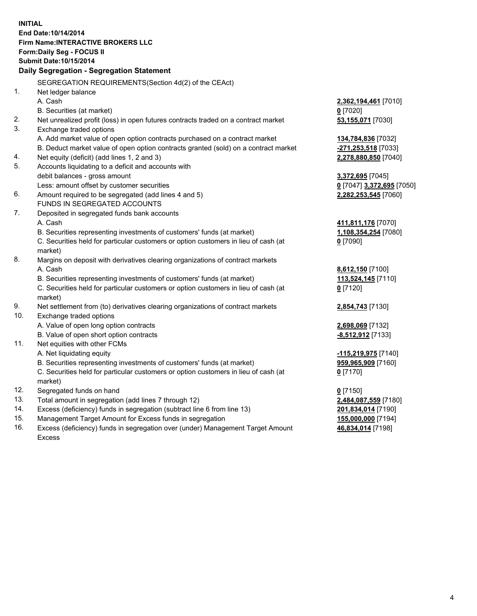**INITIAL End Date:10/14/2014 Firm Name:INTERACTIVE BROKERS LLC Form:Daily Seg - FOCUS II Submit Date:10/15/2014 Daily Segregation - Segregation Statement** SEGREGATION REQUIREMENTS(Section 4d(2) of the CEAct) 1. Net ledger balance A. Cash **2,362,194,461** [7010] B. Securities (at market) **0** [7020] 2. Net unrealized profit (loss) in open futures contracts traded on a contract market **53,155,071** [7030] 3. Exchange traded options A. Add market value of open option contracts purchased on a contract market **134,784,836** [7032] B. Deduct market value of open option contracts granted (sold) on a contract market **-271,253,518** [7033] 4. Net equity (deficit) (add lines 1, 2 and 3) **2,278,880,850** [7040] 5. Accounts liquidating to a deficit and accounts with debit balances - gross amount **3,372,695** [7045] Less: amount offset by customer securities **0** [7047] **3,372,695** [7050] 6. Amount required to be segregated (add lines 4 and 5) **2,282,253,545** [7060] FUNDS IN SEGREGATED ACCOUNTS 7. Deposited in segregated funds bank accounts A. Cash **411,811,176** [7070] B. Securities representing investments of customers' funds (at market) **1,108,354,254** [7080] C. Securities held for particular customers or option customers in lieu of cash (at market) **0** [7090] 8. Margins on deposit with derivatives clearing organizations of contract markets A. Cash **8,612,150** [7100] B. Securities representing investments of customers' funds (at market) **113,524,145** [7110] C. Securities held for particular customers or option customers in lieu of cash (at market) **0** [7120] 9. Net settlement from (to) derivatives clearing organizations of contract markets **2,854,743** [7130] 10. Exchange traded options A. Value of open long option contracts **2,698,069** [7132] B. Value of open short option contracts **-8,512,912** [7133] 11. Net equities with other FCMs A. Net liquidating equity **-115,219,975** [7140] B. Securities representing investments of customers' funds (at market) **959,965,909** [7160] C. Securities held for particular customers or option customers in lieu of cash (at market) **0** [7170] 12. Segregated funds on hand **0** [7150] 13. Total amount in segregation (add lines 7 through 12) **2,484,087,559** [7180] 14. Excess (deficiency) funds in segregation (subtract line 6 from line 13) **201,834,014** [7190] 15. Management Target Amount for Excess funds in segregation **155,000,000** [7194] **46,834,014** [7198]

16. Excess (deficiency) funds in segregation over (under) Management Target Amount Excess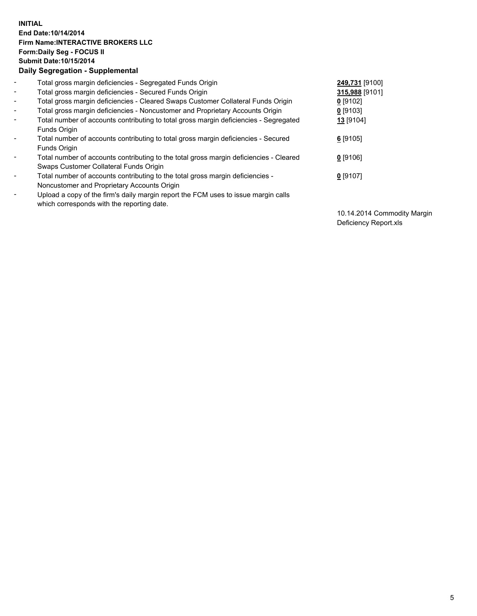## **INITIAL End Date:10/14/2014 Firm Name:INTERACTIVE BROKERS LLC Form:Daily Seg - FOCUS II Submit Date:10/15/2014 Daily Segregation - Supplemental**

| $\blacksquare$               | Total gross margin deficiencies - Segregated Funds Origin                              | 249,731 [9100] |
|------------------------------|----------------------------------------------------------------------------------------|----------------|
| $\blacksquare$               | Total gross margin deficiencies - Secured Funds Origin                                 | 315,988 [9101] |
| $\blacksquare$               | Total gross margin deficiencies - Cleared Swaps Customer Collateral Funds Origin       | $0$ [9102]     |
| $\blacksquare$               | Total gross margin deficiencies - Noncustomer and Proprietary Accounts Origin          | 0 [9103]       |
| $\blacksquare$               | Total number of accounts contributing to total gross margin deficiencies - Segregated  | 13 [9104]      |
|                              | <b>Funds Origin</b>                                                                    |                |
| $\blacksquare$               | Total number of accounts contributing to total gross margin deficiencies - Secured     | $6$ [9105]     |
|                              | Funds Origin                                                                           |                |
| $\qquad \qquad \blacksquare$ | Total number of accounts contributing to the total gross margin deficiencies - Cleared | $0$ [9106]     |
|                              | Swaps Customer Collateral Funds Origin                                                 |                |
| -                            | Total number of accounts contributing to the total gross margin deficiencies -         | $0$ [9107]     |
|                              | Noncustomer and Proprietary Accounts Origin                                            |                |
| -                            | Upload a copy of the firm's daily margin report the FCM uses to issue margin calls     |                |
|                              | which corresponds with the reporting date.                                             |                |

10.14.2014 Commodity Margin Deficiency Report.xls